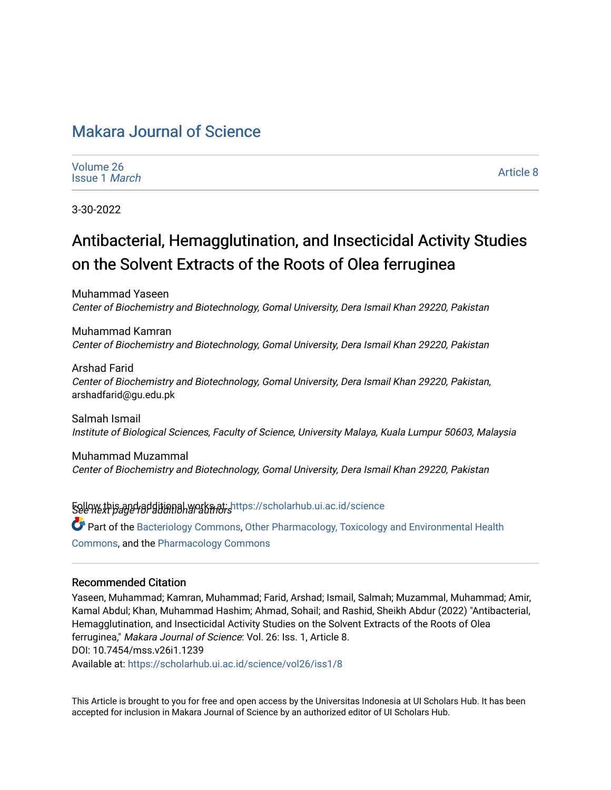## [Makara Journal of Science](https://scholarhub.ui.ac.id/science)

| Volume 26            |  |  |  |  |  |  |  |  |  |
|----------------------|--|--|--|--|--|--|--|--|--|
| Issue 1 <i>March</i> |  |  |  |  |  |  |  |  |  |

[Article 8](https://scholarhub.ui.ac.id/science/vol26/iss1/8) 

3-30-2022

# Antibacterial, Hemagglutination, and Insecticidal Activity Studies on the Solvent Extracts of the Roots of Olea ferruginea

Muhammad Yaseen Center of Biochemistry and Biotechnology, Gomal University, Dera Ismail Khan 29220, Pakistan

Muhammad Kamran Center of Biochemistry and Biotechnology, Gomal University, Dera Ismail Khan 29220, Pakistan

Arshad Farid Center of Biochemistry and Biotechnology, Gomal University, Dera Ismail Khan 29220, Pakistan, arshadfarid@gu.edu.pk

Salmah Ismail Institute of Biological Sciences, Faculty of Science, University Malaya, Kuala Lumpur 50603, Malaysia

Muhammad Muzammal Center of Biochemistry and Biotechnology, Gomal University, Dera Ismail Khan 29220, Pakistan

Sellow this and additional works at: https://scholarhub.ui.ac.id/science Part of the [Bacteriology Commons](http://network.bepress.com/hgg/discipline/49?utm_source=scholarhub.ui.ac.id%2Fscience%2Fvol26%2Fiss1%2F8&utm_medium=PDF&utm_campaign=PDFCoverPages), [Other Pharmacology, Toxicology and Environmental Health](http://network.bepress.com/hgg/discipline/68?utm_source=scholarhub.ui.ac.id%2Fscience%2Fvol26%2Fiss1%2F8&utm_medium=PDF&utm_campaign=PDFCoverPages) [Commons](http://network.bepress.com/hgg/discipline/68?utm_source=scholarhub.ui.ac.id%2Fscience%2Fvol26%2Fiss1%2F8&utm_medium=PDF&utm_campaign=PDFCoverPages), and the [Pharmacology Commons](http://network.bepress.com/hgg/discipline/66?utm_source=scholarhub.ui.ac.id%2Fscience%2Fvol26%2Fiss1%2F8&utm_medium=PDF&utm_campaign=PDFCoverPages) 

#### Recommended Citation

Yaseen, Muhammad; Kamran, Muhammad; Farid, Arshad; Ismail, Salmah; Muzammal, Muhammad; Amir, Kamal Abdul; Khan, Muhammad Hashim; Ahmad, Sohail; and Rashid, Sheikh Abdur (2022) "Antibacterial, Hemagglutination, and Insecticidal Activity Studies on the Solvent Extracts of the Roots of Olea ferruginea," Makara Journal of Science: Vol. 26: Iss. 1, Article 8. DOI: 10.7454/mss.v26i1.1239 Available at: [https://scholarhub.ui.ac.id/science/vol26/iss1/8](https://scholarhub.ui.ac.id/science/vol26/iss1/8?utm_source=scholarhub.ui.ac.id%2Fscience%2Fvol26%2Fiss1%2F8&utm_medium=PDF&utm_campaign=PDFCoverPages)

This Article is brought to you for free and open access by the Universitas Indonesia at UI Scholars Hub. It has been accepted for inclusion in Makara Journal of Science by an authorized editor of UI Scholars Hub.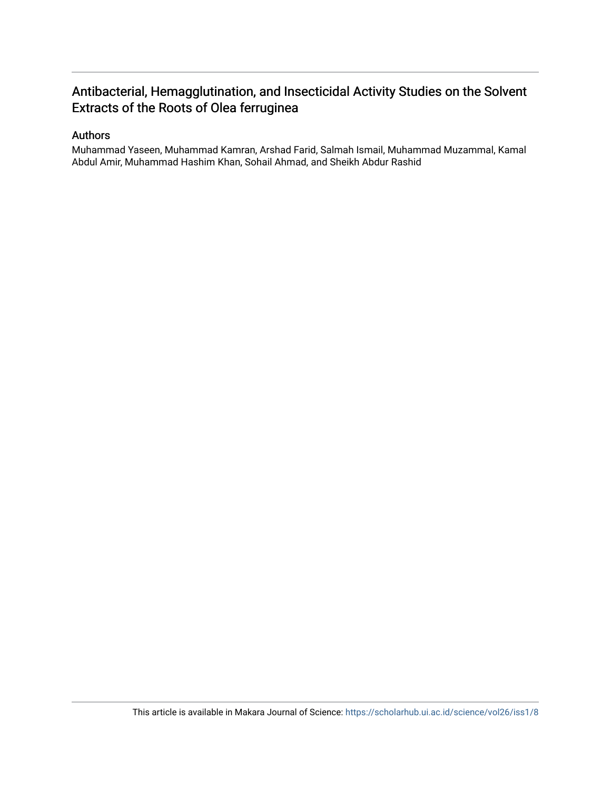## Antibacterial, Hemagglutination, and Insecticidal Activity Studies on the Solvent Extracts of the Roots of Olea ferruginea

#### Authors

Muhammad Yaseen, Muhammad Kamran, Arshad Farid, Salmah Ismail, Muhammad Muzammal, Kamal Abdul Amir, Muhammad Hashim Khan, Sohail Ahmad, and Sheikh Abdur Rashid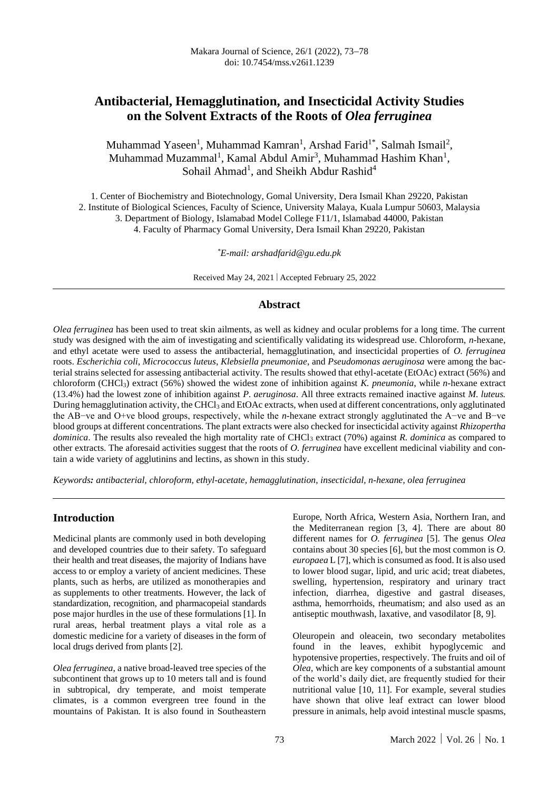### **Antibacterial, Hemagglutination, and Insecticidal Activity Studies on the Solvent Extracts of the Roots of** *Olea ferruginea*

Muhammad Yaseen<sup>1</sup>, Muhammad Kamran<sup>1</sup>, Arshad Farid<sup>1\*</sup>, Salmah Ismail<sup>2</sup>, Muhammad Muzammal<sup>1</sup>, Kamal Abdul Amir<sup>3</sup>, Muhammad Hashim Khan<sup>1</sup>, Sohail Ahmad<sup>1</sup>, and Sheikh Abdur Rashid<sup>4</sup>

1. Center of Biochemistry and Biotechnology, Gomal University, Dera Ismail Khan 29220, Pakistan 2. Institute of Biological Sciences, Faculty of Science, University Malaya, Kuala Lumpur 50603, Malaysia 3. Department of Biology, Islamabad Model College F11/1, Islamabad 44000, Pakistan 4. Faculty of Pharmacy Gomal University, Dera Ismail Khan 29220, Pakistan

*\*E-mail: arshadfarid@gu.edu.pk*

Received May 24, 2021 | Accepted February 25, 2022

#### **Abstract**

*Olea ferruginea* has been used to treat skin ailments, as well as kidney and ocular problems for a long time. The current study was designed with the aim of investigating and scientifically validating its widespread use. Chloroform, *n*-hexane, and ethyl acetate were used to assess the antibacterial, hemagglutination, and insecticidal properties of *O. ferruginea* roots. *Escherichia coli*, *Micrococcus luteus*, *Klebsiella pneumoniae*, and *Pseudomonas aeruginosa* were among the bacterial strains selected for assessing antibacterial activity. The results showed that ethyl-acetate (EtOAc) extract (56%) and chloroform (CHCl3) extract (56%) showed the widest zone of inhibition against *K. pneumonia*, while *n*-hexane extract (13.4%) had the lowest zone of inhibition against *P. aeruginosa*. All three extracts remained inactive against *M. luteus.* During hemagglutination activity, the CHCl<sup>3</sup> and EtOAc extracts, when used at different concentrations, only agglutinated the AB−ve and O+ve blood groups, respectively, while the *n*-hexane extract strongly agglutinated the A−ve and B−ve blood groups at different concentrations. The plant extracts were also checked for insecticidal activity against *Rhizopertha dominica*. The results also revealed the high mortality rate of CHCl<sub>3</sub> extract (70%) against *R. dominica* as compared to other extracts. The aforesaid activities suggest that the roots of *O. ferruginea* have excellent medicinal viability and contain a wide variety of agglutinins and lectins, as shown in this study.

*Keywords: antibacterial, chloroform, ethyl-acetate, hemagglutination, insecticidal, n-hexane, olea ferruginea*

#### **Introduction**

Medicinal plants are commonly used in both developing and developed countries due to their safety. To safeguard their health and treat diseases, the majority of Indians have access to or employ a variety of ancient medicines. These plants, such as herbs, are utilized as monotherapies and as supplements to other treatments. However, the lack of standardization, recognition, and pharmacopeial standards pose major hurdles in the use of these formulations [1]. In rural areas, herbal treatment plays a vital role as a domestic medicine for a variety of diseases in the form of local drugs derived from plants [2].

*Olea ferruginea*, a native broad-leaved tree species of the subcontinent that grows up to 10 meters tall and is found in subtropical, dry temperate, and moist temperate climates, is a common evergreen tree found in the mountains of Pakistan*.* It is also found in Southeastern

Europe, North Africa, Western Asia, Northern Iran, and the Mediterranean region [3, 4]. There are about 80 different names for *O. ferruginea* [5]. The genus *Olea* contains about 30 species [6], but the most common is *O. europaea* L [7], which is consumed as food. It is also used to lower blood sugar, lipid, and uric acid; treat diabetes, swelling, hypertension, respiratory and urinary tract infection, diarrhea, digestive and gastral diseases, asthma, hemorrhoids, rheumatism; and also used as an antiseptic mouthwash, laxative, and vasodilator [8, 9].

Oleuropein and oleacein, two secondary metabolites found in the leaves, exhibit hypoglycemic and hypotensive properties, respectively. The fruits and oil of *Olea*, which are key components of a substantial amount of the world's daily diet, are frequently studied for their nutritional value [10, 11]. For example, several studies have shown that olive leaf extract can lower blood pressure in animals, help avoid intestinal muscle spasms,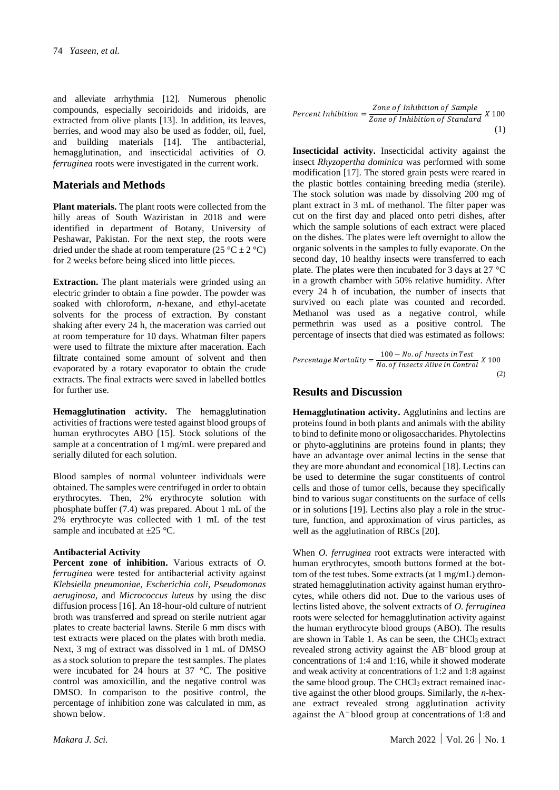and alleviate arrhythmia [12]. Numerous phenolic compounds, especially secoiridoids and iridoids, are extracted from olive plants [13]. In addition, its leaves, berries, and wood may also be used as fodder, oil, fuel, and building materials [14]. The antibacterial, hemagglutination, and insecticidal activities of *O. ferruginea* roots were investigated in the current work.

#### **Materials and Methods**

**Plant materials.** The plant roots were collected from the hilly areas of South Waziristan in 2018 and were identified in department of Botany, University of Peshawar, Pakistan. For the next step, the roots were dried under the shade at room temperature (25 °C  $\pm$  2 °C) for 2 weeks before being sliced into little pieces.

**Extraction.** The plant materials were grinded using an electric grinder to obtain a fine powder. The powder was soaked with chloroform, *n*-hexane, and ethyl-acetate solvents for the process of extraction. By constant shaking after every 24 h, the maceration was carried out at room temperature for 10 days. Whatman filter papers were used to filtrate the mixture after maceration. Each filtrate contained some amount of solvent and then evaporated by a rotary evaporator to obtain the crude extracts. The final extracts were saved in labelled bottles for further use.

**Hemagglutination activity.** The hemagglutination activities of fractions were tested against blood groups of human erythrocytes ABO [15]. Stock solutions of the sample at a concentration of 1 mg/mL were prepared and serially diluted for each solution.

Blood samples of normal volunteer individuals were obtained. The samples were centrifuged in order to obtain erythrocytes. Then, 2% erythrocyte solution with phosphate buffer (7.4) was prepared. About 1 mL of the 2% erythrocyte was collected with 1 mL of the test sample and incubated at  $\pm 25$  °C.

#### **Antibacterial Activity**

**Percent zone of inhibition.** Various extracts of *O. ferruginea* were tested for antibacterial activity against *Klebsiella pneumoniae, Escherichia coli, Pseudomonas aeruginosa,* and *Micrococcus luteus* by using the disc diffusion process [16]. An 18-hour-old culture of nutrient broth was transferred and spread on sterile nutrient agar plates to create bacterial lawns. Sterile 6 mm discs with test extracts were placed on the plates with broth media. Next, 3 mg of extract was dissolved in 1 mL of DMSO as a stock solution to prepare the test samples. The plates were incubated for 24 hours at 37 °C. The positive control was amoxicillin, and the negative control was DMSO. In comparison to the positive control, the percentage of inhibition zone was calculated in mm, as shown below.

$$
Percent Inhibition = \frac{Zone \ of \ Inhibition \ of \ Sample}{Zone \ of \ Inhibition \ of \ Standard} \ X \ 100
$$
\n(1)

**Insecticidal activity.** Insecticidal activity against the insect *Rhyzopertha dominica* was performed with some modification [17]. The stored grain pests were reared in the plastic bottles containing breeding media (sterile). The stock solution was made by dissolving 200 mg of plant extract in 3 mL of methanol. The filter paper was cut on the first day and placed onto petri dishes, after which the sample solutions of each extract were placed on the dishes. The plates were left overnight to allow the organic solvents in the samples to fully evaporate. On the second day, 10 healthy insects were transferred to each plate. The plates were then incubated for 3 days at 27 °C in a growth chamber with 50% relative humidity. After every 24 h of incubation, the number of insects that survived on each plate was counted and recorded. Methanol was used as a negative control, while permethrin was used as a positive control. The percentage of insects that died was estimated as follows:

$$
Percentage \; Mortality = \frac{100 - No. \, of \; Insects \; in \; Test}{No. \; of \; Insects \; Alice \; in \; Control} \; X \; 100
$$
\n
$$
\tag{2}
$$

#### **Results and Discussion**

**Hemagglutination activity.** Agglutinins and lectins are proteins found in both plants and animals with the ability to bind to definite mono or oligosaccharides. Phytolectins or phyto-agglutinins are proteins found in plants; they have an advantage over animal lectins in the sense that they are more abundant and economical [18]. Lectins can be used to determine the sugar constituents of control cells and those of tumor cells, because they specifically bind to various sugar constituents on the surface of cells or in solutions [19]. Lectins also play a role in the structure, function, and approximation of virus particles, as well as the agglutination of RBCs [20].

When *O. ferruginea* root extracts were interacted with human erythrocytes, smooth buttons formed at the bottom of the test tubes. Some extracts (at 1 mg/mL) demonstrated hemagglutination activity against human erythrocytes, while others did not. Due to the various uses of lectins listed above, the solvent extracts of *O. ferruginea* roots were selected for hemagglutination activity against the human erythrocyte blood groups (ABO). The results are shown in Table 1. As can be seen, the  $CHCl<sub>3</sub>$  extract revealed strong activity against the AB<sup>−</sup> blood group at concentrations of 1:4 and 1:16, while it showed moderate and weak activity at concentrations of 1:2 and 1:8 against the same blood group. The CHCl<sub>3</sub> extract remained inactive against the other blood groups. Similarly, the *n*-hexane extract revealed strong agglutination activity against the A<sup>−</sup> blood group at concentrations of 1:8 and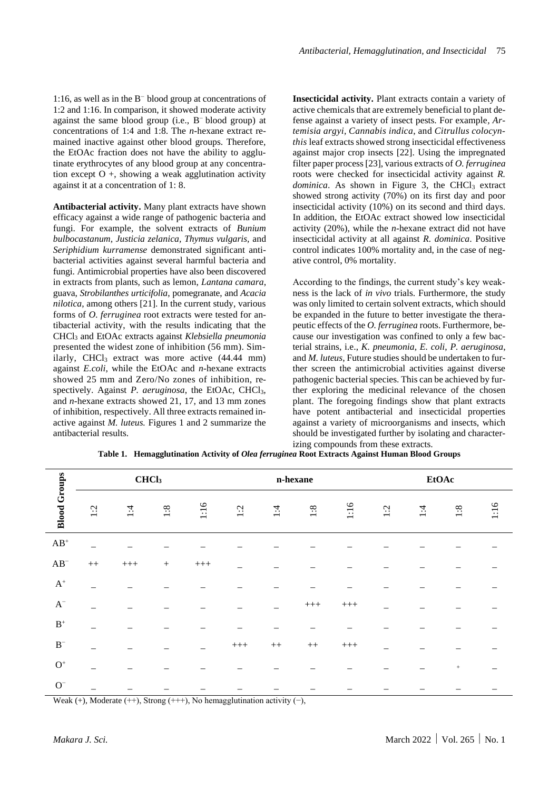1:16, as well as in the B<sup>−</sup>blood group at concentrations of 1:2 and 1:16. In comparison, it showed moderate activity against the same blood group (i.e., B<sup>-</sup> blood group) at concentrations of 1:4 and 1:8. The *n*-hexane extract remained inactive against other blood groups. Therefore, the EtOAc fraction does not have the ability to agglutinate erythrocytes of any blood group at any concentration except  $O +$ , showing a weak agglutination activity against it at a concentration of 1: 8.

**Antibacterial activity.** Many plant extracts have shown efficacy against a wide range of pathogenic bacteria and fungi. For example, the solvent extracts of *Bunium bulbocastanum, Justicia zelanica, Thymus vulgaris,* and *Seriphidium kurramense* demonstrated significant antibacterial activities against several harmful bacteria and fungi. Antimicrobial properties have also been discovered in extracts from plants, such as lemon, *Lantana camara*, guava, *Strobilanthes urticifolia*, pomegranate, and *Acacia nilotica*, among others [21]. In the current study, various forms of *O. ferruginea* root extracts were tested for antibacterial activity, with the results indicating that the CHCl<sup>3</sup> and EtOAc extracts against *Klebsiella pneumonia* presented the widest zone of inhibition (56 mm). Similarly, CHCl<sub>3</sub> extract was more active  $(44.44 \text{ mm})$ against *E.coli*, while the EtOAc and *n*-hexane extracts showed 25 mm and Zero/No zones of inhibition, respectively. Against *P. aeruginosa*, the EtOAc, CHCl<sub>3</sub>, and *n*-hexane extracts showed 21, 17, and 13 mm zones of inhibition, respectively. All three extracts remained inactive against *M. luteus.* Figures 1 and 2 summarize the antibacterial results.

**Insecticidal activity.** Plant extracts contain a variety of active chemicals that are extremely beneficial to plant defense against a variety of insect pests. For example*, Artemisia argyi, Cannabis indica*, and *Citrullus colocynthis* leaf extracts showed strong insecticidal effectiveness against major crop insects [22]. Using the impregnated filter paper process [23], various extracts of *O. ferruginea* roots were checked for insecticidal activity against *R. dominica*. As shown in Figure 3, the CHCl<sub>3</sub> extract showed strong activity (70%) on its first day and poor insecticidal activity (10%) on its second and third days. In addition, the EtOAc extract showed low insecticidal activity (20%), while the *n*-hexane extract did not have insecticidal activity at all against *R. dominica*. Positive control indicates 100% mortality and, in the case of negative control, 0% mortality.

According to the findings, the current study's key weakness is the lack of *in vivo* trials. Furthermore, the study was only limited to certain solvent extracts, which should be expanded in the future to better investigate the therapeutic effects of the *O. ferruginea* roots. Furthermore, because our investigation was confined to only a few bacterial strains, i.e., *K. pneumonia*, *E. coli*, *P. aeruginosa*, and *M. luteus*, Future studies should be undertaken to further screen the antimicrobial activities against diverse pathogenic bacterial species. This can be achieved by further exploring the medicinal relevance of the chosen plant. The foregoing findings show that plant extracts have potent antibacterial and insecticidal properties against a variety of microorganisms and insects, which should be investigated further by isolating and characterizing compounds from these extracts.

|                                                                                     | CHCl <sub>3</sub> |       |        |           | n-hexane |      |           | <b>EtOAc</b> |     |               |        |      |
|-------------------------------------------------------------------------------------|-------------------|-------|--------|-----------|----------|------|-----------|--------------|-----|---------------|--------|------|
| <b>Blood Groups</b>                                                                 | $\ddot{5}$        | $1:4$ | 1:8    | 1:16      | 1:2      | 1:4  | 1:8       | 1:16         | 1:2 | $\ddot{ }$ :1 | 1:8    | 1:16 |
| $\mathbf{A}\mathbf{B}^+$                                                            |                   |       |        |           |          |      |           |              |     |               |        |      |
| $AB^-$                                                                              | $++$              | $+++$ | $^{+}$ | $\!++\!+$ |          |      |           |              |     |               |        |      |
| $\mathrm{A}^+$                                                                      |                   |       |        |           |          |      |           |              |     |               |        |      |
| $\mathrm{A}^-$                                                                      |                   |       |        |           |          |      | $+++$     | $+++$        |     |               |        |      |
| $\mathbf{B}^+$                                                                      |                   |       |        |           |          |      |           |              |     |               |        |      |
| $\mathbf{B}^-$                                                                      |                   |       |        |           | $+++$    | $++$ | $^{++}\,$ | $^{+++}$     |     |               |        |      |
| $\mathrm{O}^+$                                                                      |                   |       |        |           |          |      |           |              |     |               | $^{+}$ |      |
| $\mathrm{O}^-$                                                                      |                   |       |        |           |          |      |           |              |     |               |        |      |
| Weak $(+)$ , Moderate $(++)$ , Strong $(++)$ , No hemagglutination activity $(-)$ , |                   |       |        |           |          |      |           |              |     |               |        |      |

**Table 1. Hemagglutination Activity of** *Olea ferruginea* **Root Extracts Against Human Blood Groups**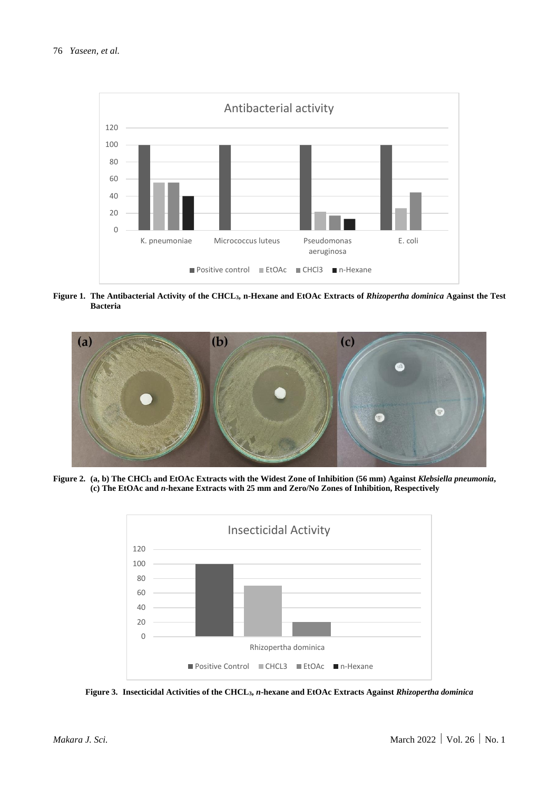#### 76 *Yaseen, et al.*



**Figure 1. The Antibacterial Activity of the CHCL3, n-Hexane and EtOAc Extracts of** *Rhizopertha dominica* **Against the Test Bacteria**



**Figure 2. (a, b) The CHCl<sup>3</sup> and EtOAc Extracts with the Widest Zone of Inhibition (56 mm) Against** *Klebsiella pneumonia***, (c) The EtOAc and** *n***-hexane Extracts with 25 mm and Zero/No Zones of Inhibition, Respectively**



**Figure 3. Insecticidal Activities of the CHCL3,** *n***-hexane and EtOAc Extracts Against** *Rhizopertha dominica*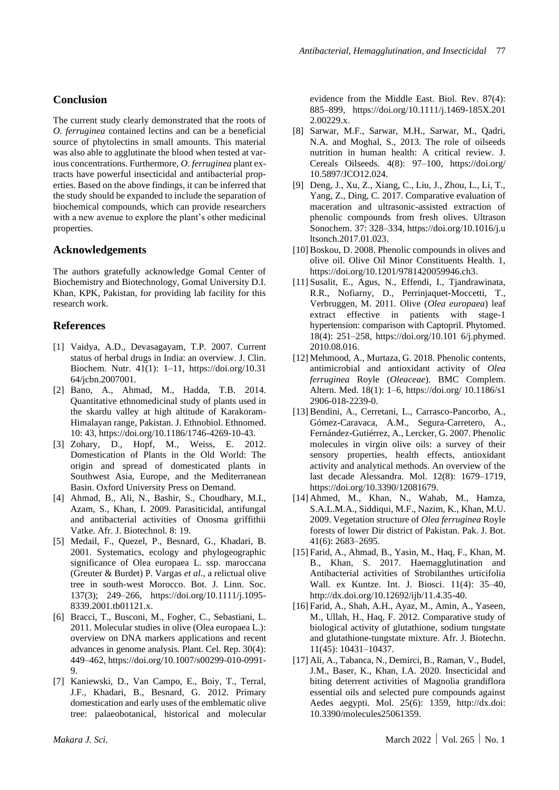#### **Conclusion**

The current study clearly demonstrated that the roots of *O. ferruginea* contained lectins and can be a beneficial source of phytolectins in small amounts. This material was also able to agglutinate the blood when tested at various concentrations. Furthermore, *O. ferruginea* plant extracts have powerful insecticidal and antibacterial properties. Based on the above findings, it can be inferred that the study should be expanded to include the separation of biochemical compounds, which can provide researchers with a new avenue to explore the plant's other medicinal properties.

#### **Acknowledgements**

The authors gratefully acknowledge Gomal Center of Biochemistry and Biotechnology, Gomal University D.I. Khan, KPK, Pakistan, for providing lab facility for this research work.

#### **References**

- [1] Vaidya, A.D., Devasagayam, T.P. 2007. Current status of herbal drugs in India: an overview. J. Clin. Biochem. Nutr. 41(1): 1–11, https://doi.org/10.31 64/jcbn.2007001.
- [2] Bano, A., Ahmad, M., Hadda, T.B. 2014. Quantitative ethnomedicinal study of plants used in the skardu valley at high altitude of Karakoram-Himalayan range, Pakistan. J. Ethnobiol. Ethnomed. 10: 43, https://doi.org/10.1186/1746-4269-10-43.
- [3] Zohary, D., Hopf, M., Weiss, E. 2012. Domestication of Plants in the Old World: The origin and spread of domesticated plants in Southwest Asia, Europe, and the Mediterranean Basin. Oxford University Press on Demand.
- [4] Ahmad, B., Ali, N., Bashir, S., Choudhary, M.I., Azam, S., Khan, I. 2009. Parasiticidal, antifungal and antibacterial activities of Onosma griffithii Vatke. Afr. J. Biotechnol. 8: 19.
- [5] Medail, F., Quezel, P., Besnard, G., Khadari, B. 2001. Systematics, ecology and phylogeographic significance of Olea europaea L. ssp. maroccana (Greuter & Burdet) P. Vargas *et al*., a relictual olive tree in south-west Morocco. Bot. J. Linn. Soc. 137(3); 249–266, https://doi.org/10.1111/j.1095- 8339.2001.tb01121.x.
- [6] Bracci, T., Busconi, M., Fogher, C., Sebastiani, L. 2011. Molecular studies in olive (Olea europaea L.): overview on DNA markers applications and recent advances in genome analysis. Plant. Cel. Rep. 30(4): 449–462, https://doi.org/10.1007/s00299-010-0991- 9.
- [7] Kaniewski, D., Van Campo, E., Boiy, T., Terral, J.F., Khadari, B., Besnard, G. 2012. Primary domestication and early uses of the emblematic olive tree: palaeobotanical, historical and molecular

evidence from the Middle East. Biol. Rev. 87(4): 885–899, https://doi.org/10.1111/j.1469-185X.201 2.00229.x.

- [8] Sarwar, M.F., Sarwar, M.H., Sarwar, M., Qadri, N.A. and Moghal, S., 2013. The role of oilseeds nutrition in human health: A critical review. J. Cereals Oilseeds. 4(8): 97–100, https://doi.org/ 10.5897/JCO12.024.
- [9] Deng, J., Xu, Z., Xiang, C., Liu, J., Zhou, L., Li, T., Yang, Z., Ding, C. 2017. Comparative evaluation of maceration and ultrasonic-assisted extraction of phenolic compounds from fresh olives. Ultrason Sonochem. 37: 328–334, https://doi.org/10.1016/j.u ltsonch.2017.01.023.
- [10] Boskou, D. 2008. Phenolic compounds in olives and olive oil. Olive Oil Minor Constituents Health. 1, https://doi.org/10.1201/9781420059946.ch3.
- [11] Susalit, E., Agus, N., Effendi, I., Tjandrawinata, R.R., Nofiarny, D., Perrinjaquet-Moccetti, T., Verbruggen, M. 2011. Olive (*Olea europaea*) leaf extract effective in patients with stage-1 hypertension: comparison with Captopril. Phytomed. 18(4): 251–258, https://doi.org/10.101 6/j.phymed. 2010.08.016.
- [12] Mehmood, A., Murtaza, G. 2018. Phenolic contents, antimicrobial and antioxidant activity of *Olea ferruginea* Royle (*Oleaceae*). BMC Complem. Altern. Med. 18(1): 1–6, https://doi.org/ 10.1186/s1 2906-018-2239-0.
- [13] Bendini, A., Cerretani, L., Carrasco-Pancorbo, A., Gómez-Caravaca, A.M., Segura-Carretero, A., Fernández-Gutiérrez, A., Lercker, G. 2007. Phenolic molecules in virgin olive oils: a survey of their sensory properties, health effects, antioxidant activity and analytical methods. An overview of the last decade Alessandra. Mol. 12(8): 1679–1719, https://doi.org/10.3390/12081679.
- [14] Ahmed, M., Khan, N., Wahab, M., Hamza, S.A.L.M.A., Siddiqui, M.F., Nazim, K., Khan, M.U. 2009. Vegetation structure of *Olea ferruginea* Royle forests of lower Dir district of Pakistan. Pak. J. Bot. 41(6): 2683–2695.
- [15] Farid, A., Ahmad, B., Yasin, M., Haq, F., Khan, M. B., Khan, S. 2017. Haemagglutination and Antibacterial activities of Strobilanthes urticifolia Wall. ex Kuntze. Int. J. Biosci. 11(4): 35–40, http://dx.doi.org/10.12692/ijb/11.4.35-40.
- [16] Farid, A., Shah, A.H., Ayaz, M., Amin, A., Yaseen, M., Ullah, H., Haq, F. 2012. Comparative study of biological activity of glutathione, sodium tungstate and glutathione-tungstate mixture. Afr. J. Biotechn. 11(45): 10431–10437.
- [17] Ali, A., Tabanca, N., Demirci, B., Raman, V., Budel, J.M., Baser, K., Khan, I.A. 2020. Insecticidal and biting deterrent activities of Magnolia grandiflora essential oils and selected pure compounds against Aedes aegypti. Mol. 25(6): 1359, http://dx.doi: 10.3390/molecules25061359.